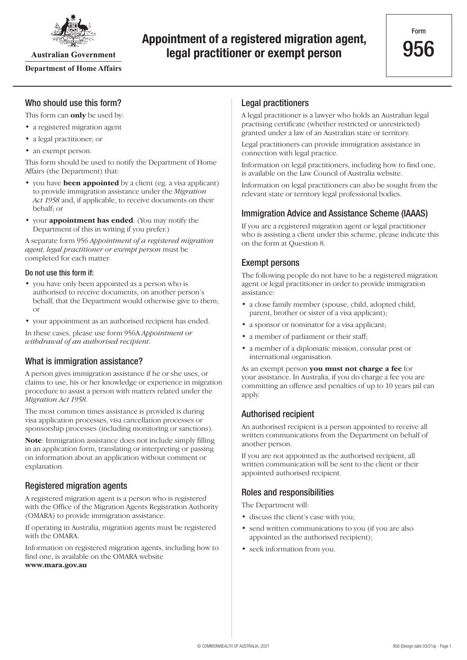

**Australian Government** 

#### **Department of Home Affairs**

# **Appointment of a registered migration agent, legal practitioner or exempt person**

## Who should use this form?

This form can **only** be used by:

- a registered migration agent
- a legal practitioner; or
- an exempt person.

This form should be used to notify the Department of Home Affairs (the Department) that:

- you have **been appointed** by a client (eg. a visa applicant) to provide immigration assistance under the *Migration Act 1958* and, if applicable, to receive documents on their behalf; or
- your **appointment has ended**. (You may notify the Department of this in writing if you prefer.)

A separate form 956 *Appointment of a registered migration agent, legal practitioner or exempt person* must be completed for each matter.

#### Do not use this form if:

- you have only been appointed as a person who is authorised to receive documents, on another person's behalf, that the Department would otherwise give to them; or
- your appointment as an authorised recipient has ended.

In these cases, please use form 956A *Appointment or withdrawal of an authorised recipient*.

## What is immigration assistance?

A person gives immigration assistance if he or she uses, or claims to use, his or her knowledge or experience in migration procedure to assist a person with matters related under the *Migration Act 1958*.

The most common times assistance is provided is during visa application processes, visa cancellation processes or sponsorship processes (including monitoring or sanctions).

**Note**: Immigration assistance does not include simply filling in an application form, translating or interpreting or passing on information about an application without comment or explanation.

## Registered migration agents

A registered migration agent is a person who is registered with the Office of the Migration Agents Registration Authority (OMARA) to provide immigration assistance.

If operating in Australia, migration agents must be registered with the OMARA.

Information on registered migration agents, including how to find one, is available on the OMARA website **[www.mara.gov.au](http://www.mara.gov.au)**

### Legal practitioners

A legal practitioner is a lawyer who holds an Australian legal practising certificate (whether restricted or unrestricted) granted under a law of an Australian state or territory.

Legal practitioners can provide immigration assistance in connection with legal practice.

Information on legal practitioners, including how to find one, is available on the Law Council of Australia website.

Information on legal practitioners can also be sought from the relevant state or territory legal professional bodies.

## Immigration Advice and Assistance Scheme (IAAAS)

If you are a registered migration agent or legal practitioner who is assisting a client under this scheme, please indicate this on the form at Question 8.

#### Exempt persons

The following people do not have to be a registered migration agent or legal practitioner in order to provide immigration assistance:

- a close family member (spouse, child, adopted child, parent, brother or sister of a visa applicant);
- a sponsor or nominator for a visa applicant;
- a member of parliament or their staff;
- a member of a diplomatic mission, consular post or international organisation.

As an exempt person **you must not charge a fee** for your assistance. In Australia, if you do charge a fee you are committing an offence and penalties of up to 10 years jail can apply.

### Authorised recipient

An authorised recipient is a person appointed to receive all written communications from the Department on behalf of another person.

If you are not appointed as the authorised recipient, all written communication will be sent to the client or their appointed authorised recipient.

#### Roles and responsibilities

The Department will:

- discuss the client's case with you;
- send written communications to you (if you are also appointed as the authorised recipient);
- seek information from you.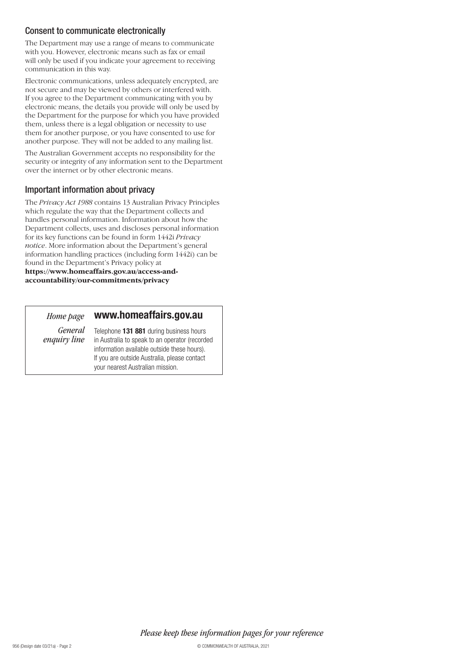#### Consent to communicate electronically

The Department may use a range of means to communicate with you. However, electronic means such as fax or email will only be used if you indicate your agreement to receiving communication in this way.

Electronic communications, unless adequately encrypted, are not secure and may be viewed by others or interfered with. If you agree to the Department communicating with you by electronic means, the details you provide will only be used by the Department for the purpose for which you have provided them, unless there is a legal obligation or necessity to use them for another purpose, or you have consented to use for another purpose. They will not be added to any mailing list.

The Australian Government accepts no responsibility for the security or integrity of any information sent to the Department over the internet or by other electronic means.

#### Important information about privacy

The *Privacy Act 1988* contains 13 Australian Privacy Principles which regulate the way that the Department collects and handles personal information. Information about how the Department collects, uses and discloses personal information for its key functions can be found in form 1442i *Privacy notice*. More information about the Department's general information handling practices (including form 1442i) can be found in the Department's Privacy policy at **[https://www.homeaffairs.gov.au/access-and-](https://www.homeaffairs.gov.au/access-and-accountability/our-commitments/privacy)**

**accountability/our-commitments/privacy**

*Home page*

#### **[www.homeaffairs.gov.au](http://www.homeaffairs.gov.au)**

Telephone **131 881** during business hours in Australia to speak to an operator (recorded information available outside these hours). If you are outside Australia, please contact *General enquiry line*

your nearest Australian mission.

*Please keep these information pages for your reference*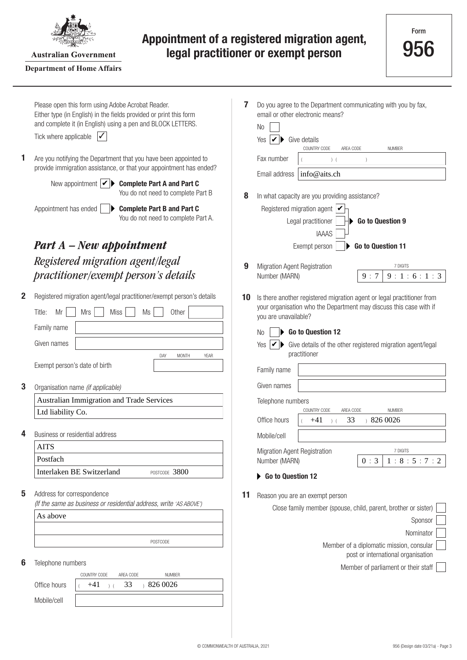

**Australian Government** 

#### **Department of Home Affairs**

# **Appointment of a registered migration agent, legal practitioner or exempt person**

| 1 | Please open this form using Adobe Acrobat Reader.<br>Either type (in English) in the fields provided or print this form<br>and complete it (in English) using a pen and BLOCK LETTERS.<br>Tick where applicable<br>Are you notifying the Department that you have been appointed to<br>provide immigration assistance, or that your appointment has ended?<br>New appointment $ \mathbf{v} $<br><b>Complete Part A and Part C</b><br>You do not need to complete Part B | 7<br>8 | Do you agree to the Department communicating with you by fax,<br>email or other electronic means?<br>No.<br>Yes<br>Give details<br>V<br>COUNTRY CODE<br>AREA CODE<br><b>NUMBER</b><br>Fax number<br>$)$ (<br>info@aits.ch<br>Email address<br>In what capacity are you providing assistance? |
|---|-------------------------------------------------------------------------------------------------------------------------------------------------------------------------------------------------------------------------------------------------------------------------------------------------------------------------------------------------------------------------------------------------------------------------------------------------------------------------|--------|----------------------------------------------------------------------------------------------------------------------------------------------------------------------------------------------------------------------------------------------------------------------------------------------|
|   | Appointment has ended<br><b>Complete Part B and Part C</b><br>You do not need to complete Part A.                                                                                                                                                                                                                                                                                                                                                                       |        | Registered migration agent $  \checkmark$<br>Go to Question 9<br>Legal practitioner<br><b>IAAAS</b>                                                                                                                                                                                          |
|   | <b>Part A</b> – New appointment                                                                                                                                                                                                                                                                                                                                                                                                                                         |        | Go to Question 11<br>Exempt person                                                                                                                                                                                                                                                           |
|   | Registered migration agent/legal<br>practitioner/exempt person's details                                                                                                                                                                                                                                                                                                                                                                                                | 9      | Migration Agent Registration<br>7 DIGITS<br>Number (MARN)<br>9:1:6:1:3<br>9:7                                                                                                                                                                                                                |
| 2 | Registered migration agent/legal practitioner/exempt person's details<br>Other<br>Title:<br><b>Mrs</b><br>Miss<br>Ms<br>Mr                                                                                                                                                                                                                                                                                                                                              | 10     | Is there another registered migration agent or legal practitioner from<br>your organisation who the Department may discuss this case with if<br>you are unavailable?                                                                                                                         |
|   | Family name                                                                                                                                                                                                                                                                                                                                                                                                                                                             |        | Go to Question 12<br>No                                                                                                                                                                                                                                                                      |
|   | Given names<br>DAY<br><b>MONTH</b><br>YEAR                                                                                                                                                                                                                                                                                                                                                                                                                              |        | Give details of the other registered migration agent/legal<br>Yes<br>practitioner                                                                                                                                                                                                            |
|   | Exempt person's date of birth                                                                                                                                                                                                                                                                                                                                                                                                                                           |        | Family name                                                                                                                                                                                                                                                                                  |
| 3 | Organisation name (if applicable)                                                                                                                                                                                                                                                                                                                                                                                                                                       |        | Given names                                                                                                                                                                                                                                                                                  |
|   | Australian Immigration and Trade Services                                                                                                                                                                                                                                                                                                                                                                                                                               |        | Telephone numbers                                                                                                                                                                                                                                                                            |
|   | Ltd liability Co.                                                                                                                                                                                                                                                                                                                                                                                                                                                       |        | COUNTRY CODE<br>AREA CODE<br><b>NUMBER</b><br>Office hours<br>33<br>$+8260026$                                                                                                                                                                                                               |
| 4 | Business or residential address                                                                                                                                                                                                                                                                                                                                                                                                                                         |        | $+41$<br>$)$ (<br>Mobile/cell                                                                                                                                                                                                                                                                |
|   | AITS                                                                                                                                                                                                                                                                                                                                                                                                                                                                    |        | 7 DIGITS<br>Migration Agent Registration                                                                                                                                                                                                                                                     |
|   | Postfach                                                                                                                                                                                                                                                                                                                                                                                                                                                                |        | Number (MARN)<br>0:3<br>1:8:5:7:2                                                                                                                                                                                                                                                            |
|   | Interlaken BE Switzerland<br>POSTCODE 3800                                                                                                                                                                                                                                                                                                                                                                                                                              |        | Go to Question 12                                                                                                                                                                                                                                                                            |
| 5 | Address for correspondence<br>(If the same as business or residential address, write 'AS ABOVE')                                                                                                                                                                                                                                                                                                                                                                        | 11     | Reason you are an exempt person<br>Close family member (spouse, child, parent, brother or sister)                                                                                                                                                                                            |
|   | As above                                                                                                                                                                                                                                                                                                                                                                                                                                                                |        | Sponsor                                                                                                                                                                                                                                                                                      |
|   |                                                                                                                                                                                                                                                                                                                                                                                                                                                                         |        | Nominator                                                                                                                                                                                                                                                                                    |
|   | POSTCODE                                                                                                                                                                                                                                                                                                                                                                                                                                                                |        | Member of a diplomatic mission, consular                                                                                                                                                                                                                                                     |
| 6 | Telephone numbers                                                                                                                                                                                                                                                                                                                                                                                                                                                       |        | post or international organisation                                                                                                                                                                                                                                                           |
|   | <b>NUMBER</b><br>COUNTRY CODE<br>AREA CODE                                                                                                                                                                                                                                                                                                                                                                                                                              |        | Member of parliament or their staff                                                                                                                                                                                                                                                          |
|   | Office hours<br>,8260026<br>33<br>$+41$<br>$\left($                                                                                                                                                                                                                                                                                                                                                                                                                     |        |                                                                                                                                                                                                                                                                                              |
|   | Mobile/cell                                                                                                                                                                                                                                                                                                                                                                                                                                                             |        |                                                                                                                                                                                                                                                                                              |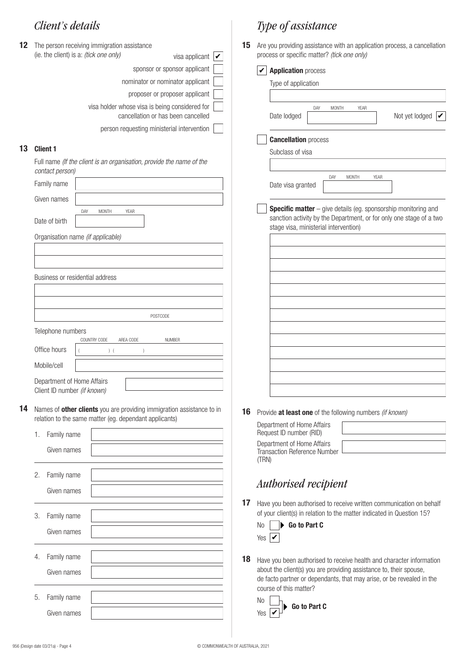| 12 |                                                                                                                                 |                   | The person receiving immigration assistance                                          | 15 |  |  |
|----|---------------------------------------------------------------------------------------------------------------------------------|-------------------|--------------------------------------------------------------------------------------|----|--|--|
|    |                                                                                                                                 |                   | (ie. the client) is a: (tick one only)<br>visa applicant $\mathbf{v}$                |    |  |  |
|    |                                                                                                                                 |                   | sponsor or sponsor applicant                                                         |    |  |  |
|    |                                                                                                                                 |                   | nominator or nominator applicant                                                     |    |  |  |
|    |                                                                                                                                 |                   | proposer or proposer applicant                                                       |    |  |  |
|    |                                                                                                                                 |                   | visa holder whose visa is being considered for<br>cancellation or has been cancelled |    |  |  |
|    |                                                                                                                                 |                   | person requesting ministerial intervention                                           |    |  |  |
| 13 |                                                                                                                                 | <b>Client 1</b>   |                                                                                      |    |  |  |
|    | Full name (If the client is an organisation, provide the name of the<br>contact person)                                         |                   |                                                                                      |    |  |  |
|    |                                                                                                                                 | Family name       |                                                                                      |    |  |  |
|    |                                                                                                                                 | Given names       |                                                                                      |    |  |  |
|    |                                                                                                                                 |                   | DAY<br><b>MONTH</b><br><b>YEAR</b>                                                   |    |  |  |
|    |                                                                                                                                 | Date of birth     |                                                                                      |    |  |  |
|    |                                                                                                                                 |                   | Organisation name (if applicable)                                                    |    |  |  |
|    |                                                                                                                                 |                   |                                                                                      |    |  |  |
|    |                                                                                                                                 |                   |                                                                                      |    |  |  |
|    |                                                                                                                                 |                   | Business or residential address                                                      |    |  |  |
|    |                                                                                                                                 |                   |                                                                                      |    |  |  |
|    |                                                                                                                                 |                   |                                                                                      |    |  |  |
|    | POSTCODE                                                                                                                        |                   |                                                                                      |    |  |  |
|    |                                                                                                                                 | Telephone numbers |                                                                                      |    |  |  |
|    |                                                                                                                                 | Office hours      | COUNTRY CODE<br>AREA CODE<br><b>NUMBER</b><br>$)$ (<br>$\left( \right)$              |    |  |  |
|    |                                                                                                                                 | Mobile/cell       |                                                                                      |    |  |  |
|    |                                                                                                                                 |                   |                                                                                      |    |  |  |
|    | Department of Home Affairs<br>Client ID number (if known)                                                                       |                   |                                                                                      |    |  |  |
| 14 |                                                                                                                                 |                   |                                                                                      |    |  |  |
|    | Names of other clients you are providing immigration assistance to in<br>relation to the same matter (eg. dependant applicants) |                   |                                                                                      |    |  |  |
|    | 1.                                                                                                                              | Family name       |                                                                                      |    |  |  |
|    |                                                                                                                                 | Given names       |                                                                                      |    |  |  |
|    |                                                                                                                                 |                   |                                                                                      |    |  |  |
|    | 2.                                                                                                                              | Family name       |                                                                                      |    |  |  |
|    |                                                                                                                                 | Given names       |                                                                                      |    |  |  |
|    |                                                                                                                                 |                   |                                                                                      | 17 |  |  |
|    | 3.                                                                                                                              | Family name       |                                                                                      |    |  |  |
|    |                                                                                                                                 | Given names       |                                                                                      |    |  |  |
|    |                                                                                                                                 |                   |                                                                                      |    |  |  |
|    | 4.                                                                                                                              | Family name       |                                                                                      | 18 |  |  |
|    | Given names                                                                                                                     |                   |                                                                                      |    |  |  |
|    |                                                                                                                                 |                   |                                                                                      |    |  |  |
|    | 5.                                                                                                                              | Family name       |                                                                                      |    |  |  |
|    |                                                                                                                                 | Given names       |                                                                                      |    |  |  |

# *Client's details Type of assistance*

15 Are you providing assistance with an application process, a cancellation process or specific matter? *(tick one only)*

| Type of application                                                                                          |
|--------------------------------------------------------------------------------------------------------------|
|                                                                                                              |
|                                                                                                              |
| YEAR<br>DAY<br><b>MONTH</b><br>Not yet lodged $ \mathcal{V} $<br>Date lodged                                 |
| <b>Cancellation process</b>                                                                                  |
| Subclass of visa                                                                                             |
|                                                                                                              |
| DAY<br><b>MONTH</b><br>YEAR                                                                                  |
| Date visa granted                                                                                            |
| Specific matter - give details (eg. sponsorship monitoring and                                               |
|                                                                                                              |
|                                                                                                              |
|                                                                                                              |
|                                                                                                              |
|                                                                                                              |
|                                                                                                              |
|                                                                                                              |
|                                                                                                              |
|                                                                                                              |
|                                                                                                              |
| sanction activity by the Department, or for only one stage of a two<br>stage visa, ministerial intervention) |

**16** Provide **at least one** of the following numbers *(if known)*

| Department of Home Affairs<br>Request ID number (RID)               |  |
|---------------------------------------------------------------------|--|
| Department of Home Affairs<br>Transaction Reference Number<br>(TRN) |  |

# *Authorised recipient*

**17** Have you been authorised to receive written communication on behalf of your client(s) in relation to the matter indicated in Question 15?

|                             | $No \parallel \blacktriangleright$ Go to Part C |  |  |
|-----------------------------|-------------------------------------------------|--|--|
| Yes $\overline{\mathbf{V}}$ |                                                 |  |  |

18 Have you been authorised to receive health and character information about the client(s) you are providing assistance to, their spouse, de facto partner or dependants, that may arise, or be revealed in the course of this matter?